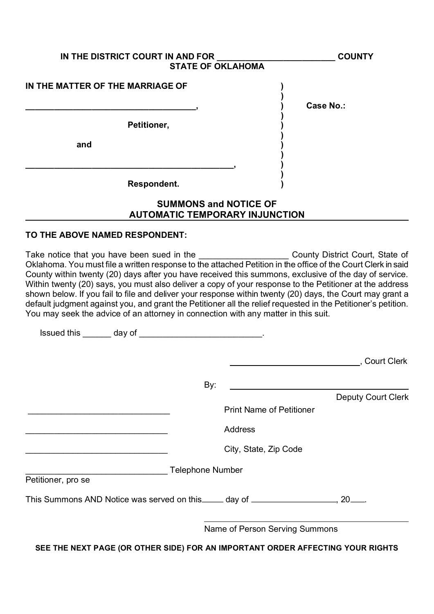| IN THE DISTRICT COURT IN AND FOR<br><b>STATE OF OKLAHOMA</b> | <b>COUNTY</b>    |
|--------------------------------------------------------------|------------------|
| IN THE MATTER OF THE MARRIAGE OF                             | <b>Case No.:</b> |
| Petitioner,                                                  |                  |
| and                                                          |                  |
|                                                              |                  |
| Respondent.                                                  |                  |
| <b>SUMMONS and NOTICE OF</b>                                 |                  |

# AUTOMATIC TEMPORARY INJUNCTION

#### TO THE ABOVE NAMED RESPONDENT:

Take notice that you have been sued in the Take Take Nounty District Court, State of Oklahoma. You must file a written response to the attached Petition in the office of the Court Clerk in said County within twenty (20) days after you have received this summons, exclusive of the day of service. Within twenty (20) says, you must also deliver a copy of your response to the Petitioner at the address shown below. If you fail to file and deliver your response within twenty (20) days, the Court may grant a default judgment against you, and grant the Petitioner all the relief requested in the Petitioner's petition. You may seek the advice of an attorney in connection with any matter in this suit.

| <u>lssued this _______</u> day of ______________________________                   |                         |                                 |                           |
|------------------------------------------------------------------------------------|-------------------------|---------------------------------|---------------------------|
|                                                                                    |                         |                                 | , Court Clerk             |
|                                                                                    | By:                     |                                 |                           |
|                                                                                    |                         |                                 | <b>Deputy Court Clerk</b> |
|                                                                                    |                         | <b>Print Name of Petitioner</b> |                           |
|                                                                                    |                         | <b>Address</b>                  |                           |
|                                                                                    |                         | City, State, Zip Code           |                           |
|                                                                                    | <b>Telephone Number</b> |                                 |                           |
| Petitioner, pro se                                                                 |                         |                                 |                           |
| This Summons AND Notice was served on this _____ day of ___________________, 20___ |                         |                                 |                           |
|                                                                                    |                         | Name of Person Serving Summons  |                           |

SEE THE NEXT PAGE (OR OTHER SIDE) FOR AN IMPORTANT ORDER AFFECTING YOUR RIGHTS